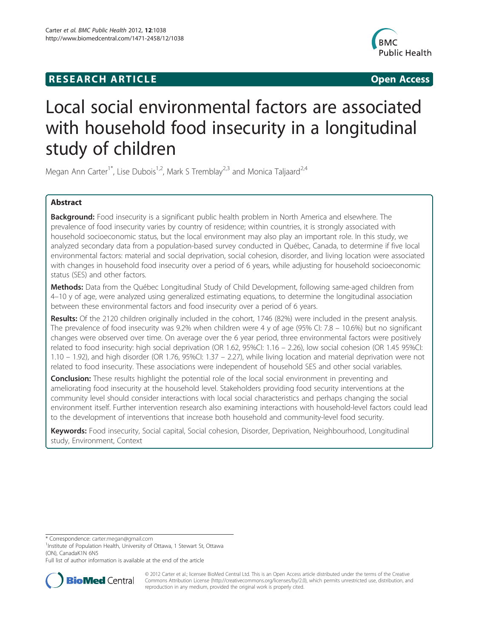# **RESEARCH ARTICLE CONSUMING A RESEARCH ARTICLE**



# Local social environmental factors are associated with household food insecurity in a longitudinal study of children

Megan Ann Carter<sup>1\*</sup>, Lise Dubois<sup>1,2</sup>, Mark S Tremblay<sup>2,3</sup> and Monica Taljaard<sup>2,4</sup>

# Abstract

Background: Food insecurity is a significant public health problem in North America and elsewhere. The prevalence of food insecurity varies by country of residence; within countries, it is strongly associated with household socioeconomic status, but the local environment may also play an important role. In this study, we analyzed secondary data from a population-based survey conducted in Québec, Canada, to determine if five local environmental factors: material and social deprivation, social cohesion, disorder, and living location were associated with changes in household food insecurity over a period of 6 years, while adjusting for household socioeconomic status (SES) and other factors.

Methods: Data from the Québec Longitudinal Study of Child Development, following same-aged children from 4–10 y of age, were analyzed using generalized estimating equations, to determine the longitudinal association between these environmental factors and food insecurity over a period of 6 years.

Results: Of the 2120 children originally included in the cohort, 1746 (82%) were included in the present analysis. The prevalence of food insecurity was 9.2% when children were 4 y of age (95% CI: 7.8 – 10.6%) but no significant changes were observed over time. On average over the 6 year period, three environmental factors were positively related to food insecurity: high social deprivation (OR 1.62, 95%CI: 1.16 – 2.26), low social cohesion (OR 1.45 95%CI: 1.10 – 1.92), and high disorder (OR 1.76, 95%CI: 1.37 – 2.27), while living location and material deprivation were not related to food insecurity. These associations were independent of household SES and other social variables.

**Conclusion:** These results highlight the potential role of the local social environment in preventing and ameliorating food insecurity at the household level. Stakeholders providing food security interventions at the community level should consider interactions with local social characteristics and perhaps changing the social environment itself. Further intervention research also examining interactions with household-level factors could lead to the development of interventions that increase both household and community-level food security.

Keywords: Food insecurity, Social capital, Social cohesion, Disorder, Deprivation, Neighbourhood, Longitudinal study, Environment, Context

\* Correspondence: [carter.megan@gmail.com](mailto:carter.megan@gmail.com) <sup>1</sup>

<sup>1</sup> Institute of Population Health, University of Ottawa, 1 Stewart St, Ottawa (ON), CanadaK1N 6N5

Full list of author information is available at the end of the article



© 2012 Carter et al.; licensee BioMed Central Ltd. This is an Open Access article distributed under the terms of the Creative Commons Attribution License [\(http://creativecommons.org/licenses/by/2.0\)](http://creativecommons.org/licenses/by/2.0), which permits unrestricted use, distribution, and reproduction in any medium, provided the original work is properly cited.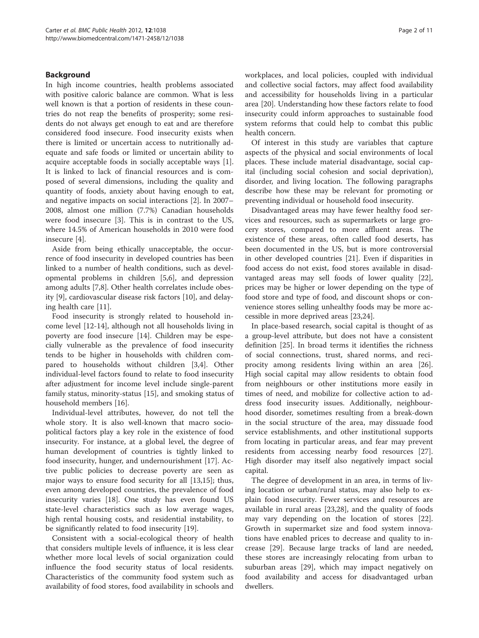# Background

In high income countries, health problems associated with positive caloric balance are common. What is less well known is that a portion of residents in these countries do not reap the benefits of prosperity; some residents do not always get enough to eat and are therefore considered food insecure. Food insecurity exists when there is limited or uncertain access to nutritionally adequate and safe foods or limited or uncertain ability to acquire acceptable foods in socially acceptable ways [\[1](#page-8-0)]. It is linked to lack of financial resources and is composed of several dimensions, including the quality and quantity of foods, anxiety about having enough to eat, and negative impacts on social interactions [[2\]](#page-8-0). In 2007– 2008, almost one million (7.7%) Canadian households were food insecure [[3\]](#page-8-0). This is in contrast to the US, where 14.5% of American households in 2010 were food insecure [[4\]](#page-8-0).

Aside from being ethically unacceptable, the occurrence of food insecurity in developed countries has been linked to a number of health conditions, such as developmental problems in children [\[5,6](#page-8-0)], and depression among adults [[7,8\]](#page-8-0). Other health correlates include obesity [[9\]](#page-8-0), cardiovascular disease risk factors [\[10\]](#page-8-0), and delaying health care [\[11](#page-9-0)].

Food insecurity is strongly related to household income level [\[12-14](#page-9-0)], although not all households living in poverty are food insecure [\[14](#page-9-0)]. Children may be especially vulnerable as the prevalence of food insecurity tends to be higher in households with children compared to households without children [\[3,4](#page-8-0)]. Other individual-level factors found to relate to food insecurity after adjustment for income level include single-parent family status, minority-status [\[15\]](#page-9-0), and smoking status of household members [[16](#page-9-0)].

Individual-level attributes, however, do not tell the whole story. It is also well-known that macro sociopolitical factors play a key role in the existence of food insecurity. For instance, at a global level, the degree of human development of countries is tightly linked to food insecurity, hunger, and undernourishment [[17](#page-9-0)]. Active public policies to decrease poverty are seen as major ways to ensure food security for all [[13,15\]](#page-9-0); thus, even among developed countries, the prevalence of food insecurity varies [\[18\]](#page-9-0). One study has even found US state-level characteristics such as low average wages, high rental housing costs, and residential instability, to be significantly related to food insecurity [[19\]](#page-9-0).

Consistent with a social-ecological theory of health that considers multiple levels of influence, it is less clear whether more local levels of social organization could influence the food security status of local residents. Characteristics of the community food system such as availability of food stores, food availability in schools and workplaces, and local policies, coupled with individual and collective social factors, may affect food availability and accessibility for households living in a particular area [[20](#page-9-0)]. Understanding how these factors relate to food insecurity could inform approaches to sustainable food system reforms that could help to combat this public health concern.

Of interest in this study are variables that capture aspects of the physical and social environments of local places. These include material disadvantage, social capital (including social cohesion and social deprivation), disorder, and living location. The following paragraphs describe how these may be relevant for promoting or preventing individual or household food insecurity.

Disadvantaged areas may have fewer healthy food services and resources, such as supermarkets or large grocery stores, compared to more affluent areas. The existence of these areas, often called food deserts, has been documented in the US, but is more controversial in other developed countries [[21\]](#page-9-0). Even if disparities in food access do not exist, food stores available in disadvantaged areas may sell foods of lower quality [\[22](#page-9-0)], prices may be higher or lower depending on the type of food store and type of food, and discount shops or convenience stores selling unhealthy foods may be more accessible in more deprived areas [[23,24\]](#page-9-0).

In place-based research, social capital is thought of as a group-level attribute, but does not have a consistent definition [\[25\]](#page-9-0). In broad terms it identifies the richness of social connections, trust, shared norms, and reciprocity among residents living within an area [\[26](#page-9-0)]. High social capital may allow residents to obtain food from neighbours or other institutions more easily in times of need, and mobilize for collective action to address food insecurity issues. Additionally, neighbourhood disorder, sometimes resulting from a break-down in the social structure of the area, may dissuade food service establishments, and other institutional supports from locating in particular areas, and fear may prevent residents from accessing nearby food resources [\[27](#page-9-0)]. High disorder may itself also negatively impact social capital.

The degree of development in an area, in terms of living location or urban/rural status, may also help to explain food insecurity. Fewer services and resources are available in rural areas [[23](#page-9-0),[28](#page-9-0)], and the quality of foods may vary depending on the location of stores [\[22](#page-9-0)]. Growth in supermarket size and food system innovations have enabled prices to decrease and quality to increase [[29](#page-9-0)]. Because large tracks of land are needed, these stores are increasingly relocating from urban to suburban areas [\[29\]](#page-9-0), which may impact negatively on food availability and access for disadvantaged urban dwellers.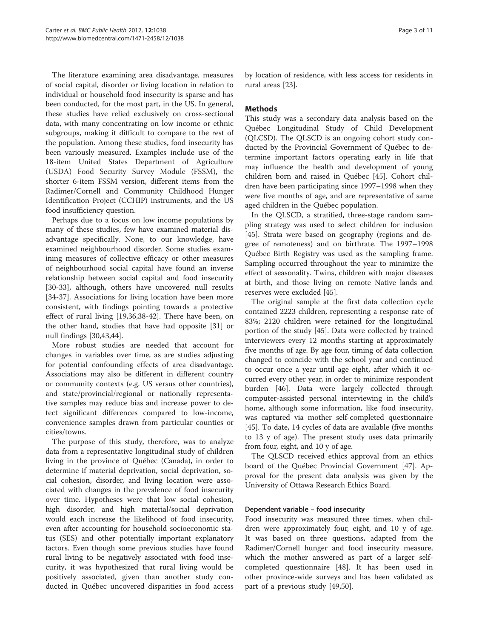The literature examining area disadvantage, measures of social capital, disorder or living location in relation to individual or household food insecurity is sparse and has been conducted, for the most part, in the US. In general, these studies have relied exclusively on cross-sectional data, with many concentrating on low income or ethnic subgroups, making it difficult to compare to the rest of the population. Among these studies, food insecurity has been variously measured. Examples include use of the 18-item United States Department of Agriculture (USDA) Food Security Survey Module (FSSM), the shorter 6-item FSSM version, different items from the Radimer/Cornell and Community Childhood Hunger Identification Project (CCHIP) instruments, and the US food insufficiency question.

Perhaps due to a focus on low income populations by many of these studies, few have examined material disadvantage specifically. None, to our knowledge, have examined neighbourhood disorder. Some studies examining measures of collective efficacy or other measures of neighbourhood social capital have found an inverse relationship between social capital and food insecurity [[30-33](#page-9-0)], although, others have uncovered null results [[34-37](#page-9-0)]. Associations for living location have been more consistent, with findings pointing towards a protective effect of rural living [[19](#page-9-0),[36](#page-9-0),[38](#page-9-0)-[42\]](#page-9-0). There have been, on the other hand, studies that have had opposite [\[31](#page-9-0)] or null findings [\[30,43,44\]](#page-9-0).

More robust studies are needed that account for changes in variables over time, as are studies adjusting for potential confounding effects of area disadvantage. Associations may also be different in different country or community contexts (e.g. US versus other countries), and state/provincial/regional or nationally representative samples may reduce bias and increase power to detect significant differences compared to low-income, convenience samples drawn from particular counties or cities/towns.

The purpose of this study, therefore, was to analyze data from a representative longitudinal study of children living in the province of Québec (Canada), in order to determine if material deprivation, social deprivation, social cohesion, disorder, and living location were associated with changes in the prevalence of food insecurity over time. Hypotheses were that low social cohesion, high disorder, and high material/social deprivation would each increase the likelihood of food insecurity, even after accounting for household socioeconomic status (SES) and other potentially important explanatory factors. Even though some previous studies have found rural living to be negatively associated with food insecurity, it was hypothesized that rural living would be positively associated, given than another study conducted in Québec uncovered disparities in food access by location of residence, with less access for residents in rural areas [[23\]](#page-9-0).

# **Methods**

This study was a secondary data analysis based on the Québec Longitudinal Study of Child Development (QLCSD). The QLSCD is an ongoing cohort study conducted by the Provincial Government of Québec to determine important factors operating early in life that may influence the health and development of young children born and raised in Québec [[45\]](#page-9-0). Cohort children have been participating since 1997–1998 when they were five months of age, and are representative of same aged children in the Québec population.

In the QLSCD, a stratified, three-stage random sampling strategy was used to select children for inclusion [[45\]](#page-9-0). Strata were based on geography (regions and degree of remoteness) and on birthrate. The 1997–1998 Québec Birth Registry was used as the sampling frame. Sampling occurred throughout the year to minimize the effect of seasonality. Twins, children with major diseases at birth, and those living on remote Native lands and reserves were excluded [\[45\]](#page-9-0).

The original sample at the first data collection cycle contained 2223 children, representing a response rate of 83%; 2120 children were retained for the longitudinal portion of the study [[45\]](#page-9-0). Data were collected by trained interviewers every 12 months starting at approximately five months of age. By age four, timing of data collection changed to coincide with the school year and continued to occur once a year until age eight, after which it occurred every other year, in order to minimize respondent burden [[46\]](#page-9-0). Data were largely collected through computer-assisted personal interviewing in the child's home, although some information, like food insecurity, was captured via mother self-completed questionnaire [[45\]](#page-9-0). To date, 14 cycles of data are available (five months to 13 y of age). The present study uses data primarily from four, eight, and 10 y of age.

The QLSCD received ethics approval from an ethics board of the Québec Provincial Government [\[47\]](#page-9-0). Approval for the present data analysis was given by the University of Ottawa Research Ethics Board.

# Dependent variable – food insecurity

Food insecurity was measured three times, when children were approximately four, eight, and 10 y of age. It was based on three questions, adapted from the Radimer/Cornell hunger and food insecurity measure, which the mother answered as part of a larger selfcompleted questionnaire [[48](#page-9-0)]. It has been used in other province-wide surveys and has been validated as part of a previous study [\[49,50](#page-9-0)].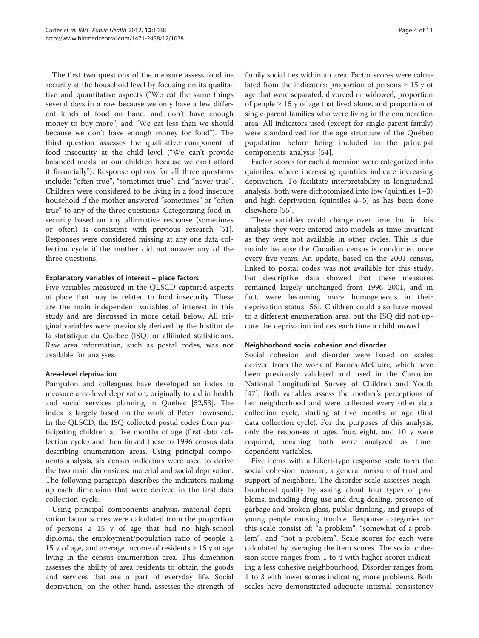The first two questions of the measure assess food insecurity at the household level by focusing on its qualitative and quantitative aspects ("We eat the same things several days in a row because we only have a few different kinds of food on hand, and don't have enough money to buy more", and "We eat less than we should because we don't have enough money for food"). The third question assesses the qualitative component of food insecurity at the child level ("We can't provide balanced meals for our children because we can't afford it financially"). Response options for all three questions include: "often true", "sometimes true", and "never true". Children were considered to be living in a food insecure household if the mother answered "sometimes" or "often true" to any of the three questions. Categorizing food insecurity based on any affirmative response (sometimes or often) is consistent with previous research [\[51](#page-9-0)]. Responses were considered missing at any one data collection cycle if the mother did not answer any of the three questions.

# Explanatory variables of interest – place factors

Five variables measured in the QLSCD captured aspects of place that may be related to food insecurity. These are the main independent variables of interest in this study and are discussed in more detail below. All original variables were previously derived by the Institut de la statistique du Québec (ISQ) or affiliated statisticians. Raw area information, such as postal codes, was not available for analyses.

# Area-level deprivation

Pampalon and colleagues have developed an index to measure area-level deprivation, originally to aid in health and social services planning in Québec [\[52,53\]](#page-9-0). The index is largely based on the work of Peter Townsend. In the QLSCD, the ISQ collected postal codes from participating children at five months of age (first data collection cycle) and then linked these to 1996 census data describing enumeration areas. Using principal components analysis, six census indicators were used to derive the two main dimensions: material and social deprivation. The following paragraph describes the indicators making up each dimension that were derived in the first data collection cycle.

Using principal components analysis, material deprivation factor scores were calculated from the proportion of persons  $\geq 15$  y of age that had no high-school diploma, the employment/population ratio of people  $\geq$ 15 y of age, and average income of residents  $\geq$  15 y of age living in the census enumeration area. This dimension assesses the ability of area residents to obtain the goods and services that are a part of everyday life. Social deprivation, on the other hand, assesses the strength of

family social ties within an area. Factor scores were calculated from the indicators: proportion of persons  $\geq 15$  y of age that were separated, divorced or widowed, proportion of people  $\geq 15$  y of age that lived alone, and proportion of single-parent families who were living in the enumeration area. All indicators used (except for single-parent family) were standardized for the age structure of the Québec population before being included in the principal components analysis [[54](#page-9-0)].

Factor scores for each dimension were categorized into quintiles, where increasing quintiles indicate increasing deprivation. To facilitate interpretability in longitudinal analysis, both were dichotomized into low (quintiles 1–3) and high deprivation (quintiles 4–5) as has been done elsewhere [\[55](#page-9-0)].

These variables could change over time, but in this analysis they were entered into models as time-invariant as they were not available in other cycles. This is due mainly because the Canadian census is conducted once every five years. An update, based on the 2001 census, linked to postal codes was not available for this study, but descriptive data showed that these measures remained largely unchanged from 1996–2001, and in fact, were becoming more homogeneous in their deprivation status [\[56\]](#page-9-0). Children could also have moved to a different enumeration area, but the ISQ did not update the deprivation indices each time a child moved.

#### Neighborhood social cohesion and disorder

Social cohesion and disorder were based on scales derived from the work of Barnes-McGuire, which have been previously validated and used in the Canadian National Longitudinal Survey of Children and Youth [[47\]](#page-9-0). Both variables assess the mother's perceptions of her neighborhood and were collected every other data collection cycle, starting at five months of age (first data collection cycle). For the purposes of this analysis, only the responses at ages four, eight, and 10 y were required; meaning both were analyzed as timedependent variables.

Five items with a Likert-type response scale form the social cohesion measure, a general measure of trust and support of neighbors. The disorder scale assesses neighbourhood quality by asking about four types of problems, including drug use and drug-dealing, presence of garbage and broken glass, public drinking, and groups of young people causing trouble. Response categories for this scale consist of: "a problem", "somewhat of a problem", and "not a problem". Scale scores for each were calculated by averaging the item scores. The social cohesion score ranges from 1 to 4 with higher scores indicating a less cohesive neighbourhood. Disorder ranges from 1 to 3 with lower scores indicating more problems. Both scales have demonstrated adequate internal consistency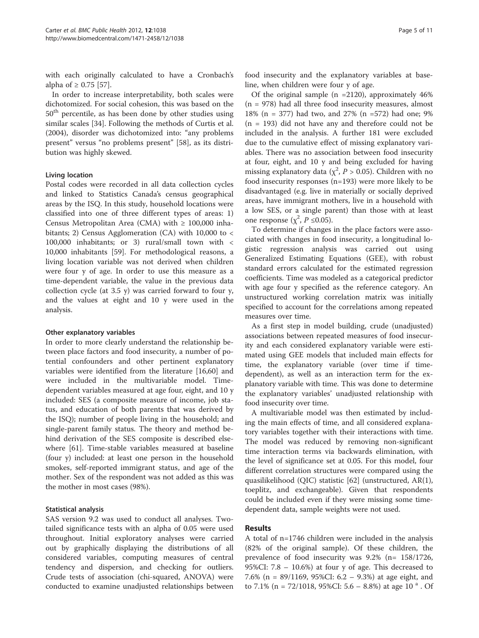with each originally calculated to have a Cronbach's alpha of ≥ 0.75 [[57\]](#page-9-0).

In order to increase interpretability, both scales were dichotomized. For social cohesion, this was based on the 50<sup>th</sup> percentile, as has been done by other studies using similar scales [[34\]](#page-9-0). Following the methods of Curtis et al. (2004), disorder was dichotomized into: "any problems present" versus "no problems present" [\[58](#page-9-0)], as its distribution was highly skewed.

#### Living location

Postal codes were recorded in all data collection cycles and linked to Statistics Canada's census geographical areas by the ISQ. In this study, household locations were classified into one of three different types of areas: 1) Census Metropolitan Area (CMA) with  $\geq$  100,000 inhabitants; 2) Census Agglomeration (CA) with 10,000 to < 100,000 inhabitants; or 3) rural/small town with < 10,000 inhabitants [[59\]](#page-9-0). For methodological reasons, a living location variable was not derived when children were four y of age. In order to use this measure as a time-dependent variable, the value in the previous data collection cycle (at 3.5 y) was carried forward to four y, and the values at eight and 10 y were used in the analysis.

#### Other explanatory variables

In order to more clearly understand the relationship between place factors and food insecurity, a number of potential confounders and other pertinent explanatory variables were identified from the literature [[16](#page-9-0),[60](#page-10-0)] and were included in the multivariable model. Timedependent variables measured at age four, eight, and 10 y included: SES (a composite measure of income, job status, and education of both parents that was derived by the ISQ); number of people living in the household; and single-parent family status. The theory and method behind derivation of the SES composite is described elsewhere [[61\]](#page-10-0). Time-stable variables measured at baseline (four y) included: at least one person in the household smokes, self-reported immigrant status, and age of the mother. Sex of the respondent was not added as this was the mother in most cases (98%).

# Statistical analysis

SAS version 9.2 was used to conduct all analyses. Twotailed significance tests with an alpha of 0.05 were used throughout. Initial exploratory analyses were carried out by graphically displaying the distributions of all considered variables, computing measures of central tendency and dispersion, and checking for outliers. Crude tests of association (chi-squared, ANOVA) were conducted to examine unadjusted relationships between

food insecurity and the explanatory variables at baseline, when children were four y of age.

Of the original sample ( $n = 2120$ ), approximately 46% (n = 978) had all three food insecurity measures, almost 18% (n = 377) had two, and 27% (n =572) had one; 9%  $(n = 193)$  did not have any and therefore could not be included in the analysis. A further 181 were excluded due to the cumulative effect of missing explanatory variables. There was no association between food insecurity at four, eight, and 10 y and being excluded for having missing explanatory data ( $\chi^2$ , *P* > 0.05). Children with no food insecurity responses (n=193) were more likely to be disadvantaged (e.g. live in materially or socially deprived areas, have immigrant mothers, live in a household with a low SES, or a single parent) than those with at least one response ( $\chi^2$ , *P* ≤0.05).

To determine if changes in the place factors were associated with changes in food insecurity, a longitudinal logistic regression analysis was carried out using Generalized Estimating Equations (GEE), with robust standard errors calculated for the estimated regression coefficients. Time was modeled as a categorical predictor with age four y specified as the reference category. An unstructured working correlation matrix was initially specified to account for the correlations among repeated measures over time.

As a first step in model building, crude (unadjusted) associations between repeated measures of food insecurity and each considered explanatory variable were estimated using GEE models that included main effects for time, the explanatory variable (over time if timedependent), as well as an interaction term for the explanatory variable with time. This was done to determine the explanatory variables' unadjusted relationship with food insecurity over time.

A multivariable model was then estimated by including the main effects of time, and all considered explanatory variables together with their interactions with time. The model was reduced by removing non-significant time interaction terms via backwards elimination, with the level of significance set at 0.05. For this model, four different correlation structures were compared using the quasilikelihood (QIC) statistic [\[62](#page-10-0)] (unstructured, AR(1), toeplitz, and exchangeable). Given that respondents could be included even if they were missing some timedependent data, sample weights were not used.

# Results

A total of n=1746 children were included in the analysis (82% of the original sample). Of these children, the prevalence of food insecurity was 9.2% (n= 158/1726, 95%CI: 7.8 – 10.6%) at four y of age. This decreased to 7.6% (n = 89/1169, 95%CI: 6.2 – 9.3%) at age eight, and to 7.1% (n = 72/1018, 95%CI:  $5.6 - 8.8$ %) at age 10<sup>a</sup>. Of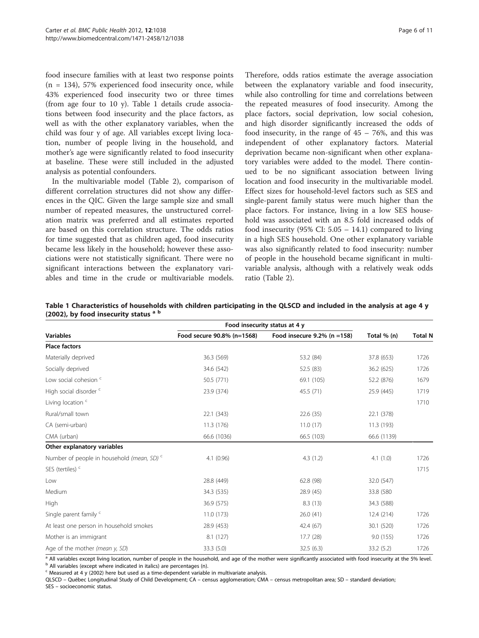food insecure families with at least two response points  $(n = 134)$ , 57% experienced food insecurity once, while 43% experienced food insecurity two or three times (from age four to 10 y). Table 1 details crude associations between food insecurity and the place factors, as well as with the other explanatory variables, when the child was four y of age. All variables except living location, number of people living in the household, and mother's age were significantly related to food insecurity at baseline. These were still included in the adjusted analysis as potential confounders.

In the multivariable model (Table [2\)](#page-6-0), comparison of different correlation structures did not show any differences in the QIC. Given the large sample size and small number of repeated measures, the unstructured correlation matrix was preferred and all estimates reported are based on this correlation structure. The odds ratios for time suggested that as children aged, food insecurity became less likely in the household; however these associations were not statistically significant. There were no significant interactions between the explanatory variables and time in the crude or multivariable models.

Therefore, odds ratios estimate the average association between the explanatory variable and food insecurity, while also controlling for time and correlations between the repeated measures of food insecurity. Among the place factors, social deprivation, low social cohesion, and high disorder significantly increased the odds of food insecurity, in the range of  $45 - 76\%$ , and this was independent of other explanatory factors. Material deprivation became non-significant when other explanatory variables were added to the model. There continued to be no significant association between living location and food insecurity in the multivariable model. Effect sizes for household-level factors such as SES and single-parent family status were much higher than the place factors. For instance, living in a low SES household was associated with an 8.5 fold increased odds of food insecurity (95% CI:  $5.05 - 14.1$ ) compared to living in a high SES household. One other explanatory variable was also significantly related to food insecurity: number of people in the household became significant in multivariable analysis, although with a relatively weak odds ratio (Table [2](#page-6-0)).

|                                                       | Food insecurity status at 4 y |                                 |             |                |
|-------------------------------------------------------|-------------------------------|---------------------------------|-------------|----------------|
| <b>Variables</b>                                      | Food secure 90.8% (n=1568)    | Food insecure $9.2\%$ (n = 158) | Total % (n) | <b>Total N</b> |
| <b>Place factors</b>                                  |                               |                                 |             |                |
| Materially deprived                                   | 36.3 (569)                    | 53.2 (84)                       | 37.8 (653)  | 1726           |
| Socially deprived                                     | 34.6 (542)                    | 52.5 (83)                       | 36.2 (625)  | 1726           |
| Low social cohesion c                                 | 50.5 (771)                    | 69.1 (105)                      | 52.2 (876)  | 1679           |
| High social disorder <sup>c</sup>                     | 23.9 (374)                    | 45.5 (71)                       | 25.9 (445)  | 1719           |
| Living location <sup>c</sup>                          |                               |                                 |             | 1710           |
| Rural/small town                                      | 22.1 (343)                    | 22.6(35)                        | 22.1 (378)  |                |
| CA (semi-urban)                                       | 11.3 (176)                    | 11.0(17)                        | 11.3 (193)  |                |
| CMA (urban)                                           | 66.6 (1036)                   | 66.5 (103)                      | 66.6 (1139) |                |
| Other explanatory variables                           |                               |                                 |             |                |
| Number of people in household (mean, SD) <sup>c</sup> | 4.1(0.96)                     | 4.3(1.2)                        | 4.1(1.0)    | 1726           |
| SES (tertiles) <sup>c</sup>                           |                               |                                 |             | 1715           |
| Low                                                   | 28.8 (449)                    | 62.8 (98)                       | 32.0 (547)  |                |
| Medium                                                | 34.3 (535)                    | 28.9 (45)                       | 33.8 (580)  |                |
| High                                                  | 36.9 (575)                    | 8.3(13)                         | 34.3 (588)  |                |
| Single parent family c                                | 11.0 (173)                    | 26.0(41)                        | 12.4 (214)  | 1726           |
| At least one person in household smokes               | 28.9 (453)                    | 42.4 (67)                       | 30.1 (520)  | 1726           |
| Mother is an immigrant                                | 8.1 (127)                     | 17.7(28)                        | 9.0(155)    | 1726           |
| Age of the mother (mean y, SD)                        | 33.3 (5.0)                    | 32.5(6.3)                       | 33.2 (5.2)  | 1726           |

Table 1 Characteristics of households with children participating in the QLSCD and included in the analysis at age 4 y (2002), by food insecurity status  $a<sup>a</sup> b$ 

<sup>a</sup> All variables except living location, number of people in the household, and age of the mother were significantly associated with food insecurity at the 5% level.<br><sup>b</sup> All variables (except where indicated in italics) a

 $\epsilon$  Measured at 4 y (2002) here but used as a time-dependent variable in multivariate analysis.

QLSCD – Québec Longitudinal Study of Child Development; CA – census agglomeration; CMA – census metropolitan area; SD – standard deviation; SES – socioeconomic status.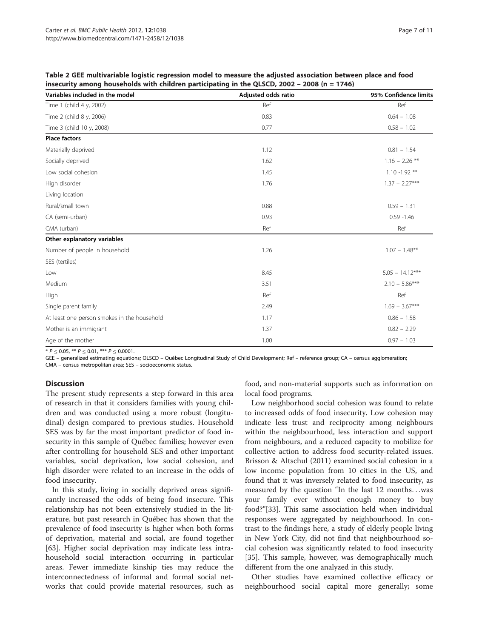| Variables included in the model             | Adjusted odds ratio | 95% Confidence limits |  |
|---------------------------------------------|---------------------|-----------------------|--|
| Time 1 (child 4 y, 2002)                    | Ref                 | Ref                   |  |
| Time 2 (child 8 y, 2006)                    | 0.83                | $0.64 - 1.08$         |  |
| Time 3 (child 10 y, 2008)                   | 0.77                | $0.58 - 1.02$         |  |
| <b>Place factors</b>                        |                     |                       |  |
| Materially deprived                         | 1.12                | $0.81 - 1.54$         |  |
| Socially deprived                           | 1.62                | $1.16 - 2.26$ **      |  |
| Low social cohesion                         | 1.45                | $1.10 - 1.92$ **      |  |
| High disorder                               | 1.76                | $1.37 - 2.27***$      |  |
| Living location                             |                     |                       |  |
| Rural/small town                            | 0.88                | $0.59 - 1.31$         |  |
| CA (semi-urban)                             | 0.93                | $0.59 - 1.46$         |  |
| CMA (urban)                                 | Ref                 | Ref                   |  |
| Other explanatory variables                 |                     |                       |  |
| Number of people in household               | 1.26                | $1.07 - 1.48**$       |  |
| SES (tertiles)                              |                     |                       |  |
| Low                                         | 8.45                | $5.05 - 14.12***$     |  |
| Medium                                      | 3.51                | $2.10 - 5.86***$      |  |
| High                                        | Ref                 | Ref                   |  |
| Single parent family                        | 2.49                | $1.69 - 3.67***$      |  |
| At least one person smokes in the household | 1.17                | $0.86 - 1.58$         |  |
| Mother is an immigrant                      | 1.37                | $0.82 - 2.29$         |  |
| Age of the mother                           | 1.00                | $0.97 - 1.03$         |  |

<span id="page-6-0"></span>Table 2 GEE multivariable logistic regression model to measure the adjusted association between place and food insecurity among households with children participating in the QLSCD, 2002 – 2008 (n = 1746)

\*  $P \le 0.05$ , \*\*  $P \le 0.01$ , \*\*\*  $P \le 0.0001$ .

GEE – generalized estimating equations; QLSCD – Québec Longitudinal Study of Child Development; Ref – reference group; CA – census agglomeration; CMA – census metropolitan area; SES – socioeconomic status.

# **Discussion**

The present study represents a step forward in this area of research in that it considers families with young children and was conducted using a more robust (longitudinal) design compared to previous studies. Household SES was by far the most important predictor of food insecurity in this sample of Québec families; however even after controlling for household SES and other important variables, social deprivation, low social cohesion, and high disorder were related to an increase in the odds of food insecurity.

In this study, living in socially deprived areas significantly increased the odds of being food insecure. This relationship has not been extensively studied in the literature, but past research in Québec has shown that the prevalence of food insecurity is higher when both forms of deprivation, material and social, are found together [[63\]](#page-10-0). Higher social deprivation may indicate less intrahousehold social interaction occurring in particular areas. Fewer immediate kinship ties may reduce the interconnectedness of informal and formal social networks that could provide material resources, such as food, and non-material supports such as information on local food programs.

Low neighborhood social cohesion was found to relate to increased odds of food insecurity. Low cohesion may indicate less trust and reciprocity among neighbours within the neighbourhood, less interaction and support from neighbours, and a reduced capacity to mobilize for collective action to address food security-related issues. Brisson & Altschul (2011) examined social cohesion in a low income population from 10 cities in the US, and found that it was inversely related to food insecurity, as measured by the question "In the last 12 months...was your family ever without enough money to buy food?"[[33](#page-9-0)]. This same association held when individual responses were aggregated by neighbourhood. In contrast to the findings here, a study of elderly people living in New York City, did not find that neighbourhood social cohesion was significantly related to food insecurity [[35\]](#page-9-0). This sample, however, was demographically much different from the one analyzed in this study.

Other studies have examined collective efficacy or neighbourhood social capital more generally; some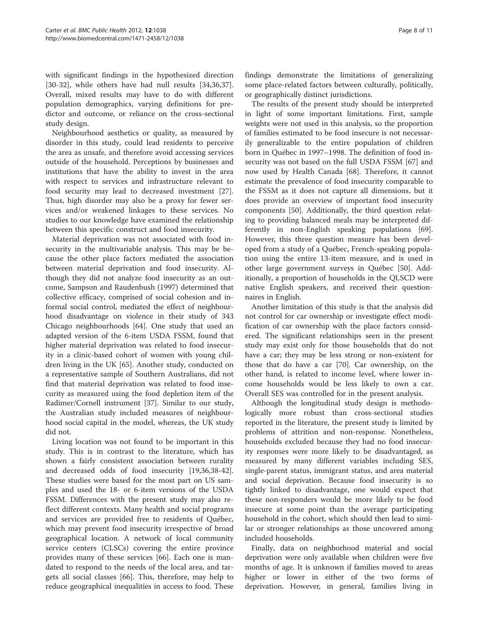with significant findings in the hypothesized direction [[30-32](#page-9-0)], while others have had null results [\[34,36,37](#page-9-0)]. Overall, mixed results may have to do with different population demographics, varying definitions for predictor and outcome, or reliance on the cross-sectional study design.

Neighbourhood aesthetics or quality, as measured by disorder in this study, could lead residents to perceive the area as unsafe, and therefore avoid accessing services outside of the household. Perceptions by businesses and institutions that have the ability to invest in the area with respect to services and infrastructure relevant to food security may lead to decreased investment [\[27](#page-9-0)]. Thus, high disorder may also be a proxy for fewer services and/or weakened linkages to these services. No studies to our knowledge have examined the relationship between this specific construct and food insecurity.

Material deprivation was not associated with food insecurity in the multivariable analysis. This may be because the other place factors mediated the association between material deprivation and food insecurity. Although they did not analyze food insecurity as an outcome, Sampson and Raudenbush (1997) determined that collective efficacy, comprised of social cohesion and informal social control, mediated the effect of neighbourhood disadvantage on violence in their study of 343 Chicago neighbourhoods [\[64](#page-10-0)]. One study that used an adapted version of the 6-item USDA FSSM, found that higher material deprivation was related to food insecurity in a clinic-based cohort of women with young children living in the UK [\[65](#page-10-0)]. Another study, conducted on a representative sample of Southern Australians, did not find that material deprivation was related to food insecurity as measured using the food depletion item of the Radimer/Cornell instrument [\[37](#page-9-0)]. Similar to our study, the Australian study included measures of neighbourhood social capital in the model, whereas, the UK study did not.

Living location was not found to be important in this study. This is in contrast to the literature, which has shown a fairly consistent association between rurality and decreased odds of food insecurity [\[19,36,38-42](#page-9-0)]. These studies were based for the most part on US samples and used the 18- or 6-item versions of the USDA FSSM. Differences with the present study may also reflect different contexts. Many health and social programs and services are provided free to residents of Québec, which may prevent food insecurity irrespective of broad geographical location. A network of local community service centers (CLSCs) covering the entire province provides many of these services [\[66\]](#page-10-0). Each one is mandated to respond to the needs of the local area, and targets all social classes [\[66](#page-10-0)]. This, therefore, may help to reduce geographical inequalities in access to food. These findings demonstrate the limitations of generalizing some place-related factors between culturally, politically, or geographically distinct jurisdictions.

The results of the present study should be interpreted in light of some important limitations. First, sample weights were not used in this analysis, so the proportion of families estimated to be food insecure is not necessarily generalizable to the entire population of children born in Québec in 1997–1998. The definition of food insecurity was not based on the full USDA FSSM [\[67](#page-10-0)] and now used by Health Canada [[68\]](#page-10-0). Therefore, it cannot estimate the prevalence of food insecurity comparable to the FSSM as it does not capture all dimensions, but it does provide an overview of important food insecurity components [\[50\]](#page-9-0). Additionally, the third question relating to providing balanced meals may be interpreted differently in non-English speaking populations [\[69](#page-10-0)]. However, this three question measure has been developed from a study of a Québec, French-speaking population using the entire 13-item measure, and is used in other large government surveys in Québec [[50](#page-9-0)]. Additionally, a proportion of households in the QLSCD were native English speakers, and received their questionnaires in English.

Another limitation of this study is that the analysis did not control for car ownership or investigate effect modification of car ownership with the place factors considered. The significant relationships seen in the present study may exist only for those households that do not have a car; they may be less strong or non-existent for those that do have a car [\[70\]](#page-10-0). Car ownership, on the other hand, is related to income level, where lower income households would be less likely to own a car. Overall SES was controlled for in the present analysis.

Although the longitudinal study design is methodologically more robust than cross-sectional studies reported in the literature, the present study is limited by problems of attrition and non-response. Nonetheless, households excluded because they had no food insecurity responses were more likely to be disadvantaged, as measured by many different variables including SES, single-parent status, immigrant status, and area material and social deprivation. Because food insecurity is so tightly linked to disadvantage, one would expect that these non-responders would be more likely to be food insecure at some point than the average participating household in the cohort, which should then lead to similar or stronger relationships as those uncovered among included households.

Finally, data on neighborhood material and social deprivation were only available when children were five months of age. It is unknown if families moved to areas higher or lower in either of the two forms of deprivation. However, in general, families living in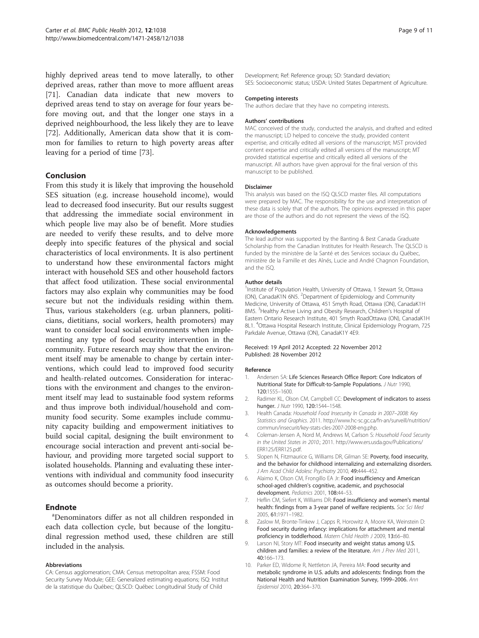<span id="page-8-0"></span>highly deprived areas tend to move laterally, to other deprived areas, rather than move to more affluent areas [[71\]](#page-10-0). Canadian data indicate that new movers to deprived areas tend to stay on average for four years before moving out, and that the longer one stays in a deprived neighbourhood, the less likely they are to leave [[72\]](#page-10-0). Additionally, American data show that it is common for families to return to high poverty areas after leaving for a period of time [\[73](#page-10-0)].

#### Conclusion

From this study it is likely that improving the household SES situation (e.g. increase household income), would lead to decreased food insecurity. But our results suggest that addressing the immediate social environment in which people live may also be of benefit. More studies are needed to verify these results, and to delve more deeply into specific features of the physical and social characteristics of local environments. It is also pertinent to understand how these environmental factors might interact with household SES and other household factors that affect food utilization. These social environmental factors may also explain why communities may be food secure but not the individuals residing within them. Thus, various stakeholders (e.g. urban planners, politicians, dietitians, social workers, health promoters) may want to consider local social environments when implementing any type of food security intervention in the community. Future research may show that the environment itself may be amenable to change by certain interventions, which could lead to improved food security and health-related outcomes. Consideration for interactions with the environment and changes to the environment itself may lead to sustainable food system reforms and thus improve both individual/household and community food security. Some examples include community capacity building and empowerment initiatives to build social capital, designing the built environment to encourage social interaction and prevent anti-social behaviour, and providing more targeted social support to isolated households. Planning and evaluating these interventions with individual and community food insecurity as outcomes should become a priority.

#### **Endnote**

Denominators differ as not all children responded in each data collection cycle, but because of the longitudinal regression method used, these children are still included in the analysis.

#### Abbreviations

CA: Census agglomeration; CMA: Census metropolitan area; FSSM: Food Security Survey Module; GEE: Generalized estimating equations; ISQ: Institut de la statistique du Québec; QLSCD: Québec Longitudinal Study of Child

Development; Ref: Reference group; SD: Standard deviation; SES: Socioeconomic status; USDA: United States Department of Agriculture.

#### Competing interests

The authors declare that they have no competing interests.

#### Authors' contributions

MAC conceived of the study, conducted the analysis, and drafted and edited the manuscript; LD helped to conceive the study, provided content expertise, and critically edited all versions of the manuscript; MST provided content expertise and critically edited all versions of the manuscript; MT provided statistical expertise and critically edited all versions of the manuscript. All authors have given approval for the final version of this manuscript to be published.

#### Disclaimer

This analysis was based on the ISQ QLSCD master files. All computations were prepared by MAC. The responsibility for the use and interpretation of these data is solely that of the authors. The opinions expressed in this paper are those of the authors and do not represent the views of the ISQ.

#### Acknowledgements

The lead author was supported by the Banting & Best Canada Graduate Scholarship from the Canadian Institutes for Health Research. The QLSCD is funded by the ministère de la Santé et des Services sociaux du Québec, ministère de la Famille et des Aînés, Lucie and André Chagnon Foundation, and the ISQ.

#### Author details

<sup>1</sup>Institute of Population Health, University of Ottawa, 1 Stewart St, Ottawa (ON), CanadaK1N 6N5. <sup>2</sup>Department of Epidemiology and Community Medicine, University of Ottawa, 451 Smyth Road, Ottawa (ON), CanadaK1H 8M5. <sup>3</sup> Healthy Active Living and Obesity Research, Children's Hospital of Eastern Ontario Research Institute, 401 Smyth RoadOttawa (ON), CanadaK1H 8L1. <sup>4</sup>Ottawa Hospital Research Institute, Clinical Epidemiology Program, 725 Parkdale Avenue, Ottawa (ON), CanadaK1Y 4E9.

#### Received: 19 April 2012 Accepted: 22 November 2012 Published: 28 November 2012

#### Reference

- 1. Andersen SA: Life Sciences Research Office Report: Core Indicators of Nutritional State for Difficult-to-Sample Populations. J Nutr 1990, 120:1555–1600.
- 2. Radimer KL, Olson CM, Campbell CC: Development of indicators to assess hunger. J Nutr 1990, 120:1544–1548.
- 3. Health Canada: Household Food Insecurity In Canada in 2007–2008: Key Statistics and Graphics. 2011. [http://www.hc-sc.gc.ca/fn-an/surveill/nutrition/](http://www.hc-sc.gc.ca/fn-an/surveill/nutrition/commun/insecurit/key-stats-cles-2007-2008-eng.php) [commun/insecurit/key-stats-cles-2007-2008-eng.php.](http://www.hc-sc.gc.ca/fn-an/surveill/nutrition/commun/insecurit/key-stats-cles-2007-2008-eng.php)
- 4. Coleman-Jensen A, Nord M, Andrews M, Carlson S: Household Food Security in the United States in 2010.; 2011. [http://www.ers.usda.gov/Publications/](http://www.ers.usda.gov/Publications/ERR125/ERR125.pdf) [ERR125/ERR125.pdf](http://www.ers.usda.gov/Publications/ERR125/ERR125.pdf).
- 5. Slopen N, Fitzmaurice G, Williams DR, Gilman SE: Poverty, food insecurity, and the behavior for childhood internalizing and externalizing disorders. J Am Acad Child Adolesc Psychiatry 2010, 49:444–452.
- 6. Alaimo K, Olson CM, Frongillo EA Jr: Food insufficiency and American school-aged children's cognitive, academic, and psychosocial development. Pediatrics 2001, 108:44–53.
- 7. Heflin CM, Siefert K, Williams DR: Food insufficiency and women's mental health: findings from a 3-year panel of welfare recipients. Soc Sci Med 2005, 61:1971–1982.
- 8. Zaslow M, Bronte-Tinkew J, Capps R, Horowitz A, Moore KA, Weinstein D: Food security during infancy: implications for attachment and mental proficiency in toddlerhood. Matern Child Health J 2009, 13:66–80.
- 9. Larson NI, Story MT: Food insecurity and weight status among U.S. children and families: a review of the literature. Am J Prev Med 2011, 40:166–173.
- 10. Parker ED, Widome R, Nettleton JA, Pereira MA: Food security and metabolic syndrome in U.S. adults and adolescents: findings from the National Health and Nutrition Examination Survey, 1999–2006. Ann Epidemiol 2010, 20:364–370.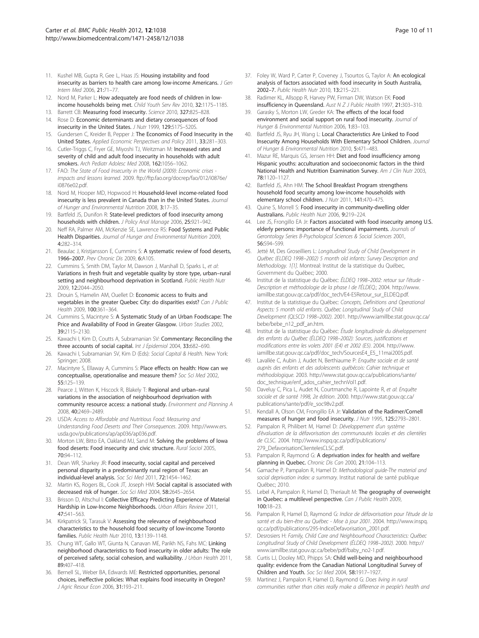- <span id="page-9-0"></span>11. Kushel MB, Gupta R, Gee L, Haas JS: Housing instability and food insecurity as barriers to health care among low-income Americans. J Gen Intern Med 2006, 21:71–77.
- 12. Nord M, Parker L: How adequately are food needs of children in lowincome households being met. Child Youth Serv Rev 2010, 32:1175–1185.
- 13. Barrett CB: Measuring food insecurity. Science 2010, 327:825-828.
- 14. Rose D: Economic determinants and dietary consequences of food insecurity in the United States. J Nutr 1999, 129:517S–520S.
- 15. Gundersen C, Kreider B, Pepper J: The Economics of Food Insecurity in the United States. Applied Economic Perspectives and Policy 2011, 33:281–303.
- 16. Cutler-Triggs C, Fryer GE, Miyoshi TJ, Weitzman M: Increased rates and severity of child and adult food insecurity in households with adult smokers. Arch Pediatr Adolesc Med 2008, 162:1056–1062.
- 17. FAO: The State of Food Insecurity in the World (2009): Economic crises impacts and lessons learned. 2009. [ftp://ftp.fao.org/docrep/fao/012/i0876e/](ftp://ftp.fao.org/docrep/fao/012/i0876e/i0876e02.pdf) [i0876e02.pdf.](ftp://ftp.fao.org/docrep/fao/012/i0876e/i0876e02.pdf)
- 18. Nord M, Hooper MD, Hopwood H: Household-level income-related food insecurity is less prevalent in Canada than in the United States. Journal of Hunger and Environmental Nutrition 2008, 3:17–35.
- 19. Bartfeld JS, Dunifon R: State-level predictors of food insecurity among households with children. J Policy Anal Manage 2006, 25:921–942.
- 20. Neff RA, Palmer AM, McKenzie SE, Lawrence RS: Food Systems and Public Health Disparities. Journal of Hunger and Environmental Nutrition 2009, 4:282–314.
- 21. Beaulac J, Kristiansson E, Cummins S: A systematic review of food deserts, 1966–2007. Prev Chronic Dis 2009, 6:A105.
- 22. Cummins S, Smith DM, Taylor M, Dawson J, Marshall D, Sparks L, et al: Variations in fresh fruit and vegetable quality by store type, urban–rural setting and neighbourhood deprivation in Scotland. Public Health Nutr 2009, 12:2044–2050.
- 23. Drouin S, Hamelin AM, Ouellet D: Economic access to fruits and vegetables in the greater Quebec City: do disparities exist? Can J Public Health 2009, 100:361–364.
- 24. Cummins S, Macintyre S: A Systematic Study of an Urban Foodscape: The Price and Availability of Food in Greater Glasgow. Urban Studies 2002, 39:2115–2130.
- 25. Kawachi I, Kim D, Coutts A, Subramanian SV: Commentary: Reconciling the three accounts of social capital. Int J Epidemiol 2004, 33:682-690.
- 26. Kawachi I, Subramanian SV, Kim D (Eds): Social Capital & Health. New York: Springer; 2008.
- 27. Macintyre S, Ellaway A, Cummins S: Place effects on health: How can we conceptualise, operationalise and measure them? Soc Sci Med 2002, 55:125–139.
- 28. Pearce J, Witten K, Hiscock R, Blakely T: Regional and urban-rural variations in the association of neighbourhood deprivation with community resource access: a national study. Environment and Planning A 2008, 40:2469–2489.
- 29. USDA: Access to Affordable and Nutritious Food: Measuring and Understanding Food Deserts and Their Consequences. 2009. [http://www.ers.](http://www.ers.usda.gov/publications/ap/ap036/ap036.pdf) [usda.gov/publications/ap/ap036/ap036.pdf.](http://www.ers.usda.gov/publications/ap/ap036/ap036.pdf)
- 30. Morton LW, Bitto EA, Oakland MJ, Sand M: Solving the problems of Iowa food deserts: Food insecurity and civic structure. Rural Sociol 2005, 70:94–112.
- 31. Dean WR, Sharkey JR: Food insecurity, social capital and perceived personal disparity in a predominantly rural region of Texas: an individual-level analysis. Soc Sci Med 2011, 72:1454–1462.
- 32. Martin KS, Rogers BL, Cook JT, Joseph HM: Social capital is associated with decreased risk of hunger. Soc Sci Med 2004, 58:2645–2654.
- 33. Brisson D, Altschul I: Collective Efficacy Predicting Experience of Material Hardship in Low-Income Neighborhoods. Urban Affairs Review 2011, 47:541–563.
- 34. Kirkpatrick SI, Tarasuk V: Assessing the relevance of neighbourhood characteristics to the household food security of low-income Toronto families. Public Health Nutr 2010, 13:1139–1148.
- 35. Chung WT, Gallo WT, Giunta N, Canavan ME, Parikh NS, Fahs MC: Linking neighborhood characteristics to food insecurity in older adults: The role of perceived safety, social cohesion, and walkability. J Urban Health 2011, 89:407–418.
- 36. Bernell SL, Weber BA, Edwards ME: Restricted opportunities, personal choices, ineffective policies: What explains food insecurity in Oregon? J Agric Resour Econ 2006, 31:193–211.
- 37. Foley W, Ward P, Carter P, Coveney J, Tsourtos G, Taylor A: An ecological analysis of factors associated with food insecurity in South Australia, 2002–7. Public Health Nutr 2010, 13:215–221.
- 38. Radimer KL, Allsopp R, Harvey PW, Firman DW, Watson EK: Food insufficiency in Queensland. Aust N Z J Public Health 1997, 21:303–310.
- 39. Garasky S, Morton LW, Greder KA: The effects of the local food environment and social support on rural food insecurity. Journal of Hunger & Environmental Nutrition 2006, 1:83–103.
- 40. Bartfeld JS, Ryu JH, Wang L: Local Characteristics Are Linked to Food Insecurity Among Households With Elementary School Children. Journal of Hunger & Environmental Nutrition 2010, 5:471–483.
- 41. Mazur RE, Marquis GS, Jensen HH: Diet and food insufficiency among Hispanic youths: acculturation and socioeconomic factors in the third National Health and Nutrition Examination Survey. Am J Clin Nutr 2003, 78:1120–1127.
- 42. Bartfeld JS, Ahn HM: The School Breakfast Program strengthens household food security among low-income households with elementary school children. J Nutr 2011, 141:470–475.
- 43. Quine S, Morrell S: Food insecurity in community-dwelling older Australians. Public Health Nutr 2006, 9:219–224.
- 44. Lee JS, Frongillo EA Jr: Factors associated with food insecurity among U.S. elderly persons: importance of functional impairments. Journals of Gerontology Series B-Psychological Sciences & Social Sciences 2001, 56:S94–S99.
- 45. Jetté M, Des Groseilliers L: Longitudinal Study of Child Development in Québec (ELDEQ 1998–2002) 5 month old infants: Survey Description and Methodology. 1[1]. Montreal: Institut de la statistique du Québec, Government du Québec; 2000.
- 46. Institut de la statistique du Québec: ÉLDEQ 1998–2002: retour sur l'étude Description et méthodologie de la phase I de l'ÉLDEQ.; 2004. [http://www.](http://www.iamillbe.stat.gouv.qc.ca/pdf/doc_tech/E4-E5Retour_sur_ELDEQ.pdf) [iamillbe.stat.gouv.qc.ca/pdf/doc\\_tech/E4-E5Retour\\_sur\\_ELDEQ.pdf.](http://www.iamillbe.stat.gouv.qc.ca/pdf/doc_tech/E4-E5Retour_sur_ELDEQ.pdf)
- 47. Institut de la statistique du Québec: Concepts, Definitions and Operational Aspects: 5 month old enfants. Québec Longitudinal Study of Child Development (QLSCD 1998–2002). 2001. [http://www.iamillbe.stat.gouv.qc.ca/](http://www.iamillbe.stat.gouv.qc.ca/bebe/bebe_n12_pdf_an.htm) [bebe/bebe\\_n12\\_pdf\\_an.htm.](http://www.iamillbe.stat.gouv.qc.ca/bebe/bebe_n12_pdf_an.htm)
- 48. Institut de la statistique du Québec: Étude longitudinale du développement des enfants du Québec (ÉLDEQ 1998–2002): Sources, justifications et modifications entre les volets 2001 (E4) et 2002 (E5). 2004. [http://www.](http://www.iamillbe.stat.gouv.qc.ca/pdf/doc_tech/SourcesE4_E5_11mai2005.pdf) [iamillbe.stat.gouv.qc.ca/pdf/doc\\_tech/SourcesE4\\_E5\\_11mai2005.pdf](http://www.iamillbe.stat.gouv.qc.ca/pdf/doc_tech/SourcesE4_E5_11mai2005.pdf).
- 49. Lavallée C, Aubin J, Audet N, Berthiaume P: Enquête sociale et de santé auprès des enfants et des adolescents québécois: Cahier technique et méthodologique. 2003. [http://www.stat.gouv.qc.ca/publications/sante/](http://www.stat.gouv.qc.ca/publications/sante/doc_technique/enf_ados_cahier_technVol1.pdf) [doc\\_technique/enf\\_ados\\_cahier\\_technVol1.pdf.](http://www.stat.gouv.qc.ca/publications/sante/doc_technique/enf_ados_cahier_technVol1.pdf)
- 50. Daveluy C, Pica L, Audet N, Courtmanche R, Lapointe R, et al: Enquête sociale et de santé 1998, 2e édition. 2000. [http://www.stat.gouv.qc.ca/](http://www.stat.gouv.qc.ca/publications/sante/pdf/e_soc98v2.pdf) [publications/sante/pdf/e\\_soc98v2.pdf.](http://www.stat.gouv.qc.ca/publications/sante/pdf/e_soc98v2.pdf)
- 51. Kendall A, Olson CM, Frongillo EA Jr: Validation of the Radimer/Cornell measures of hunger and food insecurity. J Nutr 1995, 125:2793–2801.
- 52. Pampalon R, Philibert M, Hamel D: Développement d'un système d'évaluation de la défavorisation des communautés locales et des clientèles de CLSC. 2004. [http://www.inspq.qc.ca/pdf/publications/](http://www.inspq.qc.ca/pdf/publications/279_DefavorisationClientelesCLSC.pdf) [279\\_DefavorisationClientelesCLSC.pdf.](http://www.inspq.qc.ca/pdf/publications/279_DefavorisationClientelesCLSC.pdf)
- 53. Pampalon R, Raymond G: A deprivation index for health and welfare planning in Quebec. Chronic Dis Can 2000, 21:104–113.
- 54. Gamache P, Pampalon R, Hamel D: Methodological guide-The material and social deprivation index: a summary. Institut national de santé publique Québec; 2010.
- 55. Lebel A, Pampalon R, Hamel D, Theriault M: The geography of overweight in Quebec: a multilevel perspective. Can J Public Health 2009, 100:18–23.
- 56. Pampalon R, Hamel D, Raymond G: Indice de défavorisation pour l'étude de la santé et du bien-être au Québec - Mise à jour 2001. 2004. [http://www.inspq.](http://www.inspq.qc.ca/pdf/publications/295-IndiceDefavorisation_2001.pdf) [qc.ca/pdf/publications/295-IndiceDefavorisation\\_2001.pdf.](http://www.inspq.qc.ca/pdf/publications/295-IndiceDefavorisation_2001.pdf)
- 57. Desrosiers H: Family, Child Care and Neighbourhood Characteristics: Québec Longitudinal Study of Child Development (ÉLDEQ 1998–2002). 2000. [http://](http://www.iamillbe.stat.gouv.qc.ca/bebe/pdf/baby_no2-1.pdf) [www.iamillbe.stat.gouv.qc.ca/bebe/pdf/baby\\_no2-1.pdf](http://www.iamillbe.stat.gouv.qc.ca/bebe/pdf/baby_no2-1.pdf).
- 58. Curtis LJ, Dooley MD, Phipps SA: Child well-being and neighbourhood quality: evidence from the Canadian National Longitudinal Survey of Children and Youth. Soc Sci Med 2004, 58:1917–1927.
- 59. Martinez J, Pampalon R, Hamel D, Raymond G: Does living in rural communities rather than cities really make a difference in people's health and